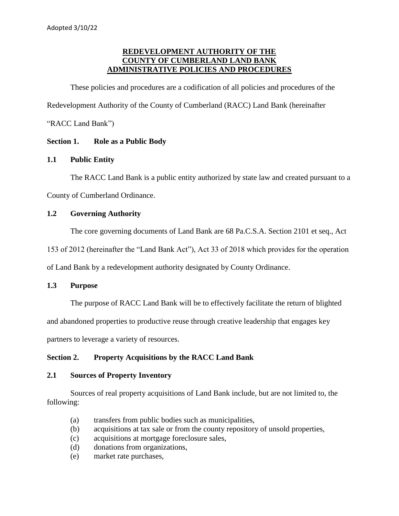# **REDEVELOPMENT AUTHORITY OF THE COUNTY OF CUMBERLAND LAND BANK ADMINISTRATIVE POLICIES AND PROCEDURES**

These policies and procedures are a codification of all policies and procedures of the Redevelopment Authority of the County of Cumberland (RACC) Land Bank (hereinafter "RACC Land Bank")

# **Section 1. Role as a Public Body**

# **1.1 Public Entity**

The RACC Land Bank is a public entity authorized by state law and created pursuant to a County of Cumberland Ordinance.

# **1.2 Governing Authority**

The core governing documents of Land Bank are 68 Pa.C.S.A. Section 2101 et seq., Act

153 of 2012 (hereinafter the "Land Bank Act"), Act 33 of 2018 which provides for the operation

of Land Bank by a redevelopment authority designated by County Ordinance.

# **1.3 Purpose**

The purpose of RACC Land Bank will be to effectively facilitate the return of blighted

and abandoned properties to productive reuse through creative leadership that engages key

partners to leverage a variety of resources.

# **Section 2. Property Acquisitions by the RACC Land Bank**

# **2.1 Sources of Property Inventory**

Sources of real property acquisitions of Land Bank include, but are not limited to, the following:

- (a) transfers from public bodies such as municipalities,
- (b) acquisitions at tax sale or from the county repository of unsold properties,
- (c) acquisitions at mortgage foreclosure sales,
- (d) donations from organizations,
- (e) market rate purchases,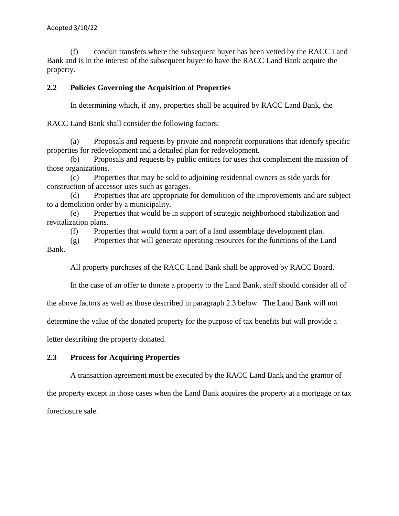(f) conduit transfers where the subsequent buyer has been vetted by the RACC Land Bank and is in the interest of the subsequent buyer to have the RACC Land Bank acquire the property.

## **2.2 Policies Governing the Acquisition of Properties**

In determining which, if any, properties shall be acquired by RACC Land Bank, the

RACC Land Bank shall consider the following factors:

(a) Proposals and requests by private and nonprofit corporations that identify specific properties for redevelopment and a detailed plan for redevelopment.

(b) Proposals and requests by public entities for uses that complement the mission of those organizations.

(c) Properties that may be sold to adjoining residential owners as side yards for construction of accessor uses such as garages.

(d) Properties that are appropriate for demolition of the improvements and are subject to a demolition order by a municipality.

(e) Properties that would be in support of strategic neighborhood stabilization and revitalization plans.

(f) Properties that would form a part of a land assemblage development plan.

(g) Properties that will generate operating resources for the functions of the Land Bank.

All property purchases of the RACC Land Bank shall be approved by RACC Board.

In the case of an offer to donate a property to the Land Bank, staff should consider all of

the above factors as well as those described in paragraph 2.3 below. The Land Bank will not

determine the value of the donated property for the purpose of tax benefits but will provide a

letter describing the property donated.

## **2.3 Process for Acquiring Properties**

A transaction agreement must be executed by the RACC Land Bank and the grantor of

the property except in those cases when the Land Bank acquires the property at a mortgage or tax foreclosure sale.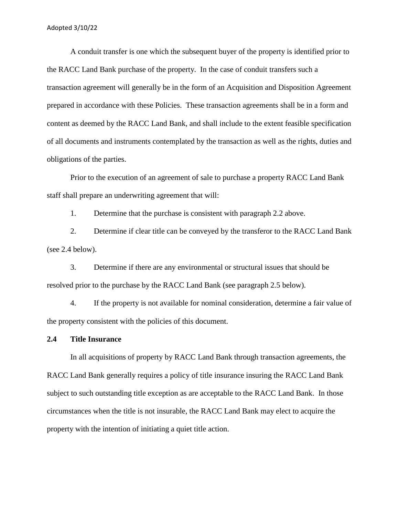A conduit transfer is one which the subsequent buyer of the property is identified prior to the RACC Land Bank purchase of the property. In the case of conduit transfers such a transaction agreement will generally be in the form of an Acquisition and Disposition Agreement prepared in accordance with these Policies. These transaction agreements shall be in a form and content as deemed by the RACC Land Bank, and shall include to the extent feasible specification of all documents and instruments contemplated by the transaction as well as the rights, duties and obligations of the parties.

Prior to the execution of an agreement of sale to purchase a property RACC Land Bank staff shall prepare an underwriting agreement that will:

1. Determine that the purchase is consistent with paragraph 2.2 above.

2. Determine if clear title can be conveyed by the transferor to the RACC Land Bank (see 2.4 below).

3. Determine if there are any environmental or structural issues that should be resolved prior to the purchase by the RACC Land Bank (see paragraph 2.5 below).

4. If the property is not available for nominal consideration, determine a fair value of the property consistent with the policies of this document.

#### **2.4 Title Insurance**

In all acquisitions of property by RACC Land Bank through transaction agreements, the RACC Land Bank generally requires a policy of title insurance insuring the RACC Land Bank subject to such outstanding title exception as are acceptable to the RACC Land Bank. In those circumstances when the title is not insurable, the RACC Land Bank may elect to acquire the property with the intention of initiating a quiet title action.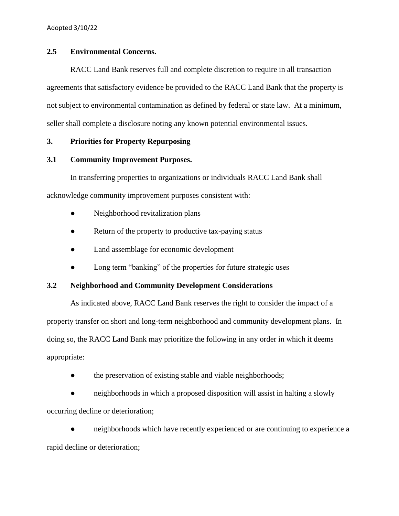### **2.5 Environmental Concerns.**

RACC Land Bank reserves full and complete discretion to require in all transaction agreements that satisfactory evidence be provided to the RACC Land Bank that the property is not subject to environmental contamination as defined by federal or state law. At a minimum, seller shall complete a disclosure noting any known potential environmental issues.

## **3. Priorities for Property Repurposing**

## **3.1 Community Improvement Purposes.**

In transferring properties to organizations or individuals RACC Land Bank shall acknowledge community improvement purposes consistent with:

- Neighborhood revitalization plans
- Return of the property to productive tax-paying status
- Land assemblage for economic development
- Long term "banking" of the properties for future strategic uses

# **3.2 Neighborhood and Community Development Considerations**

As indicated above, RACC Land Bank reserves the right to consider the impact of a property transfer on short and long-term neighborhood and community development plans. In doing so, the RACC Land Bank may prioritize the following in any order in which it deems appropriate:

• the preservation of existing stable and viable neighborhoods;

• neighborhoods in which a proposed disposition will assist in halting a slowly occurring decline or deterioration;

neighborhoods which have recently experienced or are continuing to experience a rapid decline or deterioration;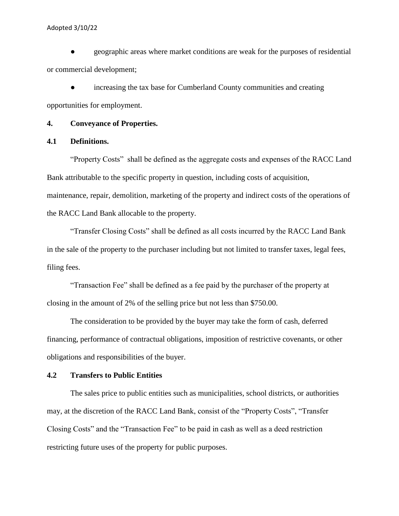● geographic areas where market conditions are weak for the purposes of residential or commercial development;

• increasing the tax base for Cumberland County communities and creating opportunities for employment.

## **4. Conveyance of Properties.**

### **4.1 Definitions.**

"Property Costs" shall be defined as the aggregate costs and expenses of the RACC Land Bank attributable to the specific property in question, including costs of acquisition, maintenance, repair, demolition, marketing of the property and indirect costs of the operations of the RACC Land Bank allocable to the property.

"Transfer Closing Costs" shall be defined as all costs incurred by the RACC Land Bank in the sale of the property to the purchaser including but not limited to transfer taxes, legal fees, filing fees.

"Transaction Fee" shall be defined as a fee paid by the purchaser of the property at closing in the amount of 2% of the selling price but not less than \$750.00.

The consideration to be provided by the buyer may take the form of cash, deferred financing, performance of contractual obligations, imposition of restrictive covenants, or other obligations and responsibilities of the buyer.

### **4.2 Transfers to Public Entities**

The sales price to public entities such as municipalities, school districts, or authorities may, at the discretion of the RACC Land Bank, consist of the "Property Costs", "Transfer Closing Costs" and the "Transaction Fee" to be paid in cash as well as a deed restriction restricting future uses of the property for public purposes.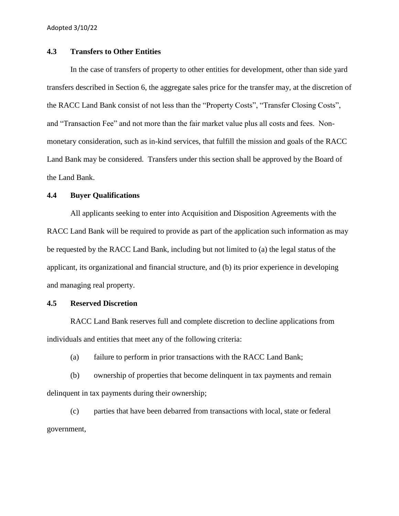### **4.3 Transfers to Other Entities**

In the case of transfers of property to other entities for development, other than side yard transfers described in Section 6, the aggregate sales price for the transfer may, at the discretion of the RACC Land Bank consist of not less than the "Property Costs", "Transfer Closing Costs", and "Transaction Fee" and not more than the fair market value plus all costs and fees. Nonmonetary consideration, such as in-kind services, that fulfill the mission and goals of the RACC Land Bank may be considered. Transfers under this section shall be approved by the Board of the Land Bank.

## **4.4 Buyer Qualifications**

All applicants seeking to enter into Acquisition and Disposition Agreements with the RACC Land Bank will be required to provide as part of the application such information as may be requested by the RACC Land Bank, including but not limited to (a) the legal status of the applicant, its organizational and financial structure, and (b) its prior experience in developing and managing real property.

### **4.5 Reserved Discretion**

RACC Land Bank reserves full and complete discretion to decline applications from individuals and entities that meet any of the following criteria:

(a) failure to perform in prior transactions with the RACC Land Bank;

(b) ownership of properties that become delinquent in tax payments and remain delinquent in tax payments during their ownership;

(c) parties that have been debarred from transactions with local, state or federal government,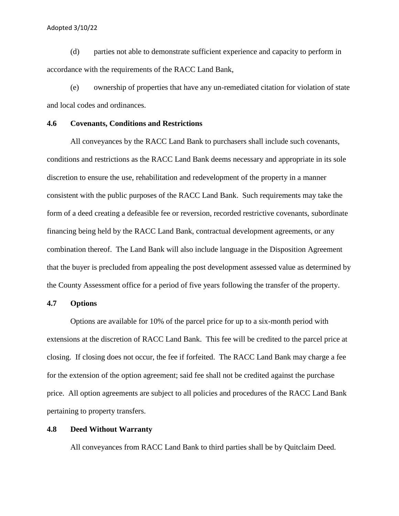(d) parties not able to demonstrate sufficient experience and capacity to perform in accordance with the requirements of the RACC Land Bank,

(e) ownership of properties that have any un-remediated citation for violation of state and local codes and ordinances.

### **4.6 Covenants, Conditions and Restrictions**

All conveyances by the RACC Land Bank to purchasers shall include such covenants, conditions and restrictions as the RACC Land Bank deems necessary and appropriate in its sole discretion to ensure the use, rehabilitation and redevelopment of the property in a manner consistent with the public purposes of the RACC Land Bank. Such requirements may take the form of a deed creating a defeasible fee or reversion, recorded restrictive covenants, subordinate financing being held by the RACC Land Bank, contractual development agreements, or any combination thereof. The Land Bank will also include language in the Disposition Agreement that the buyer is precluded from appealing the post development assessed value as determined by the County Assessment office for a period of five years following the transfer of the property.

### **4.7 Options**

Options are available for 10% of the parcel price for up to a six-month period with extensions at the discretion of RACC Land Bank. This fee will be credited to the parcel price at closing. If closing does not occur, the fee if forfeited. The RACC Land Bank may charge a fee for the extension of the option agreement; said fee shall not be credited against the purchase price. All option agreements are subject to all policies and procedures of the RACC Land Bank pertaining to property transfers.

### **4.8 Deed Without Warranty**

All conveyances from RACC Land Bank to third parties shall be by Quitclaim Deed.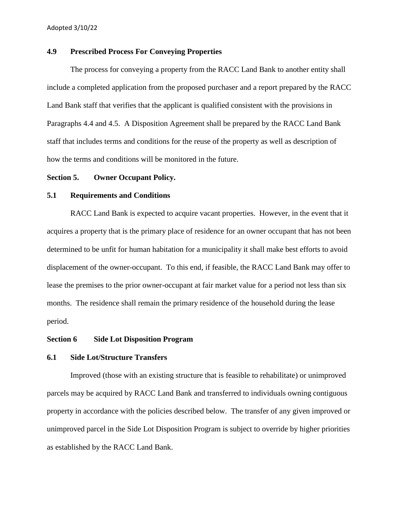## **4.9 Prescribed Process For Conveying Properties**

The process for conveying a property from the RACC Land Bank to another entity shall include a completed application from the proposed purchaser and a report prepared by the RACC Land Bank staff that verifies that the applicant is qualified consistent with the provisions in Paragraphs 4.4 and 4.5. A Disposition Agreement shall be prepared by the RACC Land Bank staff that includes terms and conditions for the reuse of the property as well as description of how the terms and conditions will be monitored in the future.

### **Section 5. Owner Occupant Policy.**

#### **5.1 Requirements and Conditions**

RACC Land Bank is expected to acquire vacant properties. However, in the event that it acquires a property that is the primary place of residence for an owner occupant that has not been determined to be unfit for human habitation for a municipality it shall make best efforts to avoid displacement of the owner-occupant. To this end, if feasible, the RACC Land Bank may offer to lease the premises to the prior owner-occupant at fair market value for a period not less than six months. The residence shall remain the primary residence of the household during the lease period.

#### **Section 6 Side Lot Disposition Program**

### **6.1 Side Lot/Structure Transfers**

Improved (those with an existing structure that is feasible to rehabilitate) or unimproved parcels may be acquired by RACC Land Bank and transferred to individuals owning contiguous property in accordance with the policies described below. The transfer of any given improved or unimproved parcel in the Side Lot Disposition Program is subject to override by higher priorities as established by the RACC Land Bank.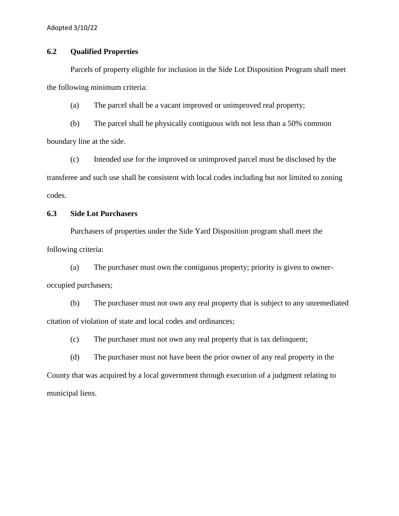# **6.2 Qualified Properties**

Parcels of property eligible for inclusion in the Side Lot Disposition Program shall meet the following minimum criteria:

(a) The parcel shall be a vacant improved or unimproved real property;

(b) The parcel shall be physically contiguous with not less than a 50% common boundary line at the side.

(c) Intended use for the improved or unimproved parcel must be disclosed by the transferee and such use shall be consistent with local codes including but not limited to zoning codes.

## **6.3 Side Lot Purchasers**

Purchasers of properties under the Side Yard Disposition program shall meet the following criteria:

(a) The purchaser must own the contiguous property; priority is given to owneroccupied purchasers;

(b) The purchaser must not own any real property that is subject to any unremediated citation of violation of state and local codes and ordinances;

(c) The purchaser must not own any real property that is tax delinquent;

(d) The purchaser must not have been the prior owner of any real property in the County that was acquired by a local government through execution of a judgment relating to municipal liens.